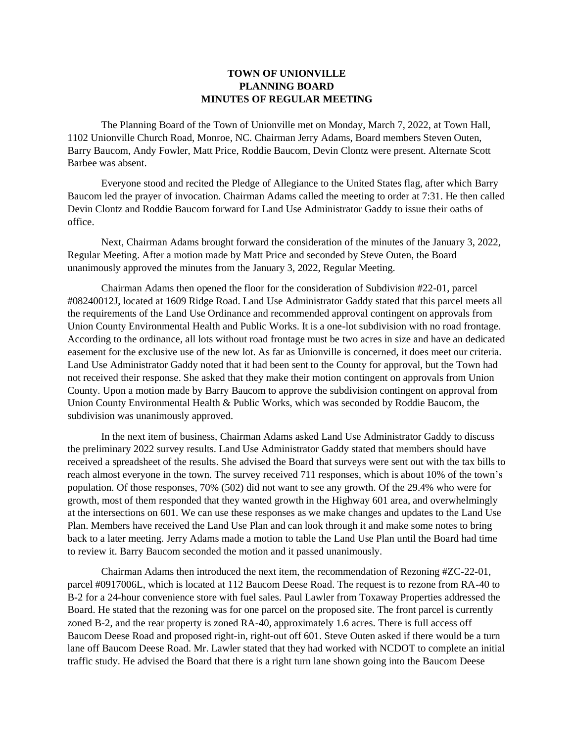## **TOWN OF UNIONVILLE PLANNING BOARD MINUTES OF REGULAR MEETING**

The Planning Board of the Town of Unionville met on Monday, March 7, 2022, at Town Hall, 1102 Unionville Church Road, Monroe, NC. Chairman Jerry Adams, Board members Steven Outen, Barry Baucom, Andy Fowler, Matt Price, Roddie Baucom, Devin Clontz were present. Alternate Scott Barbee was absent.

Everyone stood and recited the Pledge of Allegiance to the United States flag, after which Barry Baucom led the prayer of invocation. Chairman Adams called the meeting to order at 7:31. He then called Devin Clontz and Roddie Baucom forward for Land Use Administrator Gaddy to issue their oaths of office.

Next, Chairman Adams brought forward the consideration of the minutes of the January 3, 2022, Regular Meeting. After a motion made by Matt Price and seconded by Steve Outen, the Board unanimously approved the minutes from the January 3, 2022, Regular Meeting.

Chairman Adams then opened the floor for the consideration of Subdivision #22-01, parcel #08240012J, located at 1609 Ridge Road. Land Use Administrator Gaddy stated that this parcel meets all the requirements of the Land Use Ordinance and recommended approval contingent on approvals from Union County Environmental Health and Public Works. It is a one-lot subdivision with no road frontage. According to the ordinance, all lots without road frontage must be two acres in size and have an dedicated easement for the exclusive use of the new lot. As far as Unionville is concerned, it does meet our criteria. Land Use Administrator Gaddy noted that it had been sent to the County for approval, but the Town had not received their response. She asked that they make their motion contingent on approvals from Union County. Upon a motion made by Barry Baucom to approve the subdivision contingent on approval from Union County Environmental Health & Public Works, which was seconded by Roddie Baucom, the subdivision was unanimously approved.

In the next item of business, Chairman Adams asked Land Use Administrator Gaddy to discuss the preliminary 2022 survey results. Land Use Administrator Gaddy stated that members should have received a spreadsheet of the results. She advised the Board that surveys were sent out with the tax bills to reach almost everyone in the town. The survey received 711 responses, which is about 10% of the town's population. Of those responses, 70% (502) did not want to see any growth. Of the 29.4% who were for growth, most of them responded that they wanted growth in the Highway 601 area, and overwhelmingly at the intersections on 601. We can use these responses as we make changes and updates to the Land Use Plan. Members have received the Land Use Plan and can look through it and make some notes to bring back to a later meeting. Jerry Adams made a motion to table the Land Use Plan until the Board had time to review it. Barry Baucom seconded the motion and it passed unanimously.

Chairman Adams then introduced the next item, the recommendation of Rezoning #ZC-22-01, parcel #0917006L, which is located at 112 Baucom Deese Road. The request is to rezone from RA-40 to B-2 for a 24-hour convenience store with fuel sales. Paul Lawler from Toxaway Properties addressed the Board. He stated that the rezoning was for one parcel on the proposed site. The front parcel is currently zoned B-2, and the rear property is zoned RA-40, approximately 1.6 acres. There is full access off Baucom Deese Road and proposed right-in, right-out off 601. Steve Outen asked if there would be a turn lane off Baucom Deese Road. Mr. Lawler stated that they had worked with NCDOT to complete an initial traffic study. He advised the Board that there is a right turn lane shown going into the Baucom Deese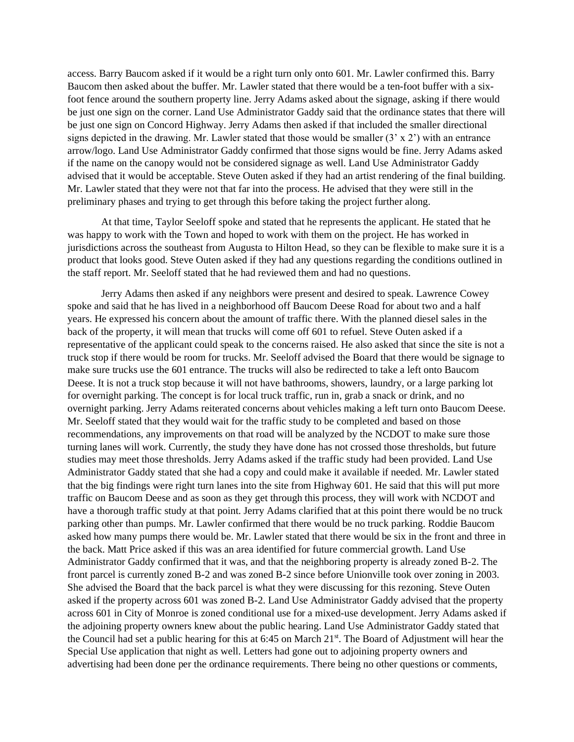access. Barry Baucom asked if it would be a right turn only onto 601. Mr. Lawler confirmed this. Barry Baucom then asked about the buffer. Mr. Lawler stated that there would be a ten-foot buffer with a sixfoot fence around the southern property line. Jerry Adams asked about the signage, asking if there would be just one sign on the corner. Land Use Administrator Gaddy said that the ordinance states that there will be just one sign on Concord Highway. Jerry Adams then asked if that included the smaller directional signs depicted in the drawing. Mr. Lawler stated that those would be smaller  $(3 \times 2')$  with an entrance arrow/logo. Land Use Administrator Gaddy confirmed that those signs would be fine. Jerry Adams asked if the name on the canopy would not be considered signage as well. Land Use Administrator Gaddy advised that it would be acceptable. Steve Outen asked if they had an artist rendering of the final building. Mr. Lawler stated that they were not that far into the process. He advised that they were still in the preliminary phases and trying to get through this before taking the project further along.

At that time, Taylor Seeloff spoke and stated that he represents the applicant. He stated that he was happy to work with the Town and hoped to work with them on the project. He has worked in jurisdictions across the southeast from Augusta to Hilton Head, so they can be flexible to make sure it is a product that looks good. Steve Outen asked if they had any questions regarding the conditions outlined in the staff report. Mr. Seeloff stated that he had reviewed them and had no questions.

Jerry Adams then asked if any neighbors were present and desired to speak. Lawrence Cowey spoke and said that he has lived in a neighborhood off Baucom Deese Road for about two and a half years. He expressed his concern about the amount of traffic there. With the planned diesel sales in the back of the property, it will mean that trucks will come off 601 to refuel. Steve Outen asked if a representative of the applicant could speak to the concerns raised. He also asked that since the site is not a truck stop if there would be room for trucks. Mr. Seeloff advised the Board that there would be signage to make sure trucks use the 601 entrance. The trucks will also be redirected to take a left onto Baucom Deese. It is not a truck stop because it will not have bathrooms, showers, laundry, or a large parking lot for overnight parking. The concept is for local truck traffic, run in, grab a snack or drink, and no overnight parking. Jerry Adams reiterated concerns about vehicles making a left turn onto Baucom Deese. Mr. Seeloff stated that they would wait for the traffic study to be completed and based on those recommendations, any improvements on that road will be analyzed by the NCDOT to make sure those turning lanes will work. Currently, the study they have done has not crossed those thresholds, but future studies may meet those thresholds. Jerry Adams asked if the traffic study had been provided. Land Use Administrator Gaddy stated that she had a copy and could make it available if needed. Mr. Lawler stated that the big findings were right turn lanes into the site from Highway 601. He said that this will put more traffic on Baucom Deese and as soon as they get through this process, they will work with NCDOT and have a thorough traffic study at that point. Jerry Adams clarified that at this point there would be no truck parking other than pumps. Mr. Lawler confirmed that there would be no truck parking. Roddie Baucom asked how many pumps there would be. Mr. Lawler stated that there would be six in the front and three in the back. Matt Price asked if this was an area identified for future commercial growth. Land Use Administrator Gaddy confirmed that it was, and that the neighboring property is already zoned B-2. The front parcel is currently zoned B-2 and was zoned B-2 since before Unionville took over zoning in 2003. She advised the Board that the back parcel is what they were discussing for this rezoning. Steve Outen asked if the property across 601 was zoned B-2. Land Use Administrator Gaddy advised that the property across 601 in City of Monroe is zoned conditional use for a mixed-use development. Jerry Adams asked if the adjoining property owners knew about the public hearing. Land Use Administrator Gaddy stated that the Council had set a public hearing for this at 6:45 on March 21<sup>st</sup>. The Board of Adjustment will hear the Special Use application that night as well. Letters had gone out to adjoining property owners and advertising had been done per the ordinance requirements. There being no other questions or comments,